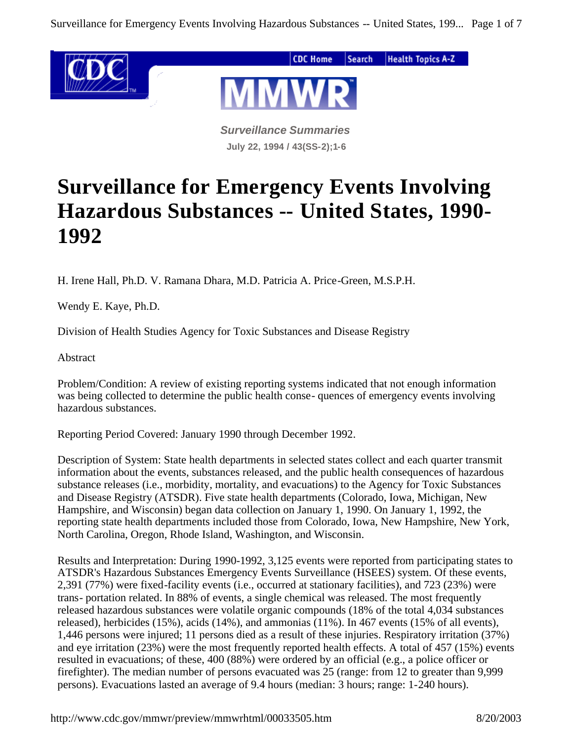

*Surveillance Summaries* **July 22, 1994 / 43(SS-2);1-6**

# **Surveillance for Emergency Events Involving Hazardous Substances -- United States, 1990- 1992**

H. Irene Hall, Ph.D. V. Ramana Dhara, M.D. Patricia A. Price-Green, M.S.P.H.

Wendy E. Kaye, Ph.D.

Division of Health Studies Agency for Toxic Substances and Disease Registry

Abstract

Problem/Condition: A review of existing reporting systems indicated that not enough information was being collected to determine the public health conse- quences of emergency events involving hazardous substances.

Reporting Period Covered: January 1990 through December 1992.

Description of System: State health departments in selected states collect and each quarter transmit information about the events, substances released, and the public health consequences of hazardous substance releases (i.e., morbidity, mortality, and evacuations) to the Agency for Toxic Substances and Disease Registry (ATSDR). Five state health departments (Colorado, Iowa, Michigan, New Hampshire, and Wisconsin) began data collection on January 1, 1990. On January 1, 1992, the reporting state health departments included those from Colorado, Iowa, New Hampshire, New York, North Carolina, Oregon, Rhode Island, Washington, and Wisconsin.

Results and Interpretation: During 1990-1992, 3,125 events were reported from participating states to ATSDR's Hazardous Substances Emergency Events Surveillance (HSEES) system. Of these events, 2,391 (77%) were fixed-facility events (i.e., occurred at stationary facilities), and 723 (23%) were trans- portation related. In 88% of events, a single chemical was released. The most frequently released hazardous substances were volatile organic compounds (18% of the total 4,034 substances released), herbicides (15%), acids (14%), and ammonias (11%). In 467 events (15% of all events), 1,446 persons were injured; 11 persons died as a result of these injuries. Respiratory irritation (37%) and eye irritation (23%) were the most frequently reported health effects. A total of 457 (15%) events resulted in evacuations; of these, 400 (88%) were ordered by an official (e.g., a police officer or firefighter). The median number of persons evacuated was 25 (range: from 12 to greater than 9,999 persons). Evacuations lasted an average of 9.4 hours (median: 3 hours; range: 1-240 hours).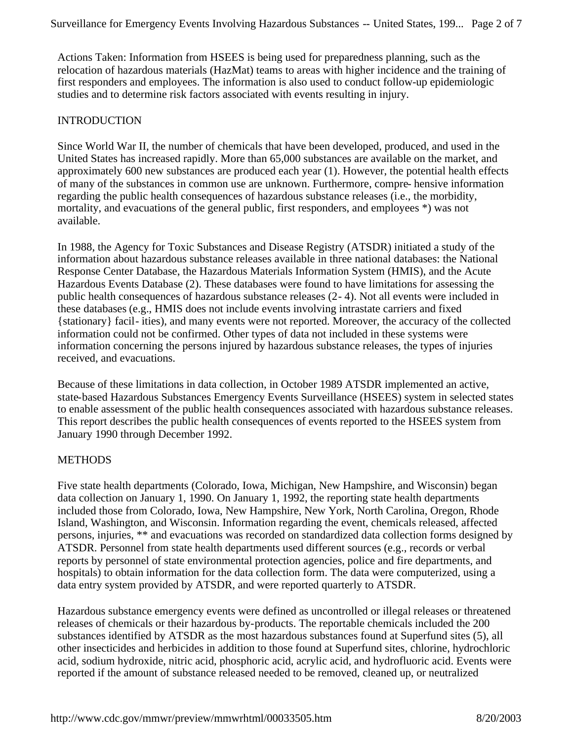Actions Taken: Information from HSEES is being used for preparedness planning, such as the relocation of hazardous materials (HazMat) teams to areas with higher incidence and the training of first responders and employees. The information is also used to conduct follow-up epidemiologic studies and to determine risk factors associated with events resulting in injury.

## INTRODUCTION

Since World War II, the number of chemicals that have been developed, produced, and used in the United States has increased rapidly. More than 65,000 substances are available on the market, and approximately 600 new substances are produced each year (1). However, the potential health effects of many of the substances in common use are unknown. Furthermore, compre- hensive information regarding the public health consequences of hazardous substance releases (i.e., the morbidity, mortality, and evacuations of the general public, first responders, and employees \*) was not available.

In 1988, the Agency for Toxic Substances and Disease Registry (ATSDR) initiated a study of the information about hazardous substance releases available in three national databases: the National Response Center Database, the Hazardous Materials Information System (HMIS), and the Acute Hazardous Events Database (2). These databases were found to have limitations for assessing the public health consequences of hazardous substance releases (2- 4). Not all events were included in these databases (e.g., HMIS does not include events involving intrastate carriers and fixed {stationary} facil- ities), and many events were not reported. Moreover, the accuracy of the collected information could not be confirmed. Other types of data not included in these systems were information concerning the persons injured by hazardous substance releases, the types of injuries received, and evacuations.

Because of these limitations in data collection, in October 1989 ATSDR implemented an active, state-based Hazardous Substances Emergency Events Surveillance (HSEES) system in selected states to enable assessment of the public health consequences associated with hazardous substance releases. This report describes the public health consequences of events reported to the HSEES system from January 1990 through December 1992.

# **METHODS**

Five state health departments (Colorado, Iowa, Michigan, New Hampshire, and Wisconsin) began data collection on January 1, 1990. On January 1, 1992, the reporting state health departments included those from Colorado, Iowa, New Hampshire, New York, North Carolina, Oregon, Rhode Island, Washington, and Wisconsin. Information regarding the event, chemicals released, affected persons, injuries, \*\* and evacuations was recorded on standardized data collection forms designed by ATSDR. Personnel from state health departments used different sources (e.g., records or verbal reports by personnel of state environmental protection agencies, police and fire departments, and hospitals) to obtain information for the data collection form. The data were computerized, using a data entry system provided by ATSDR, and were reported quarterly to ATSDR.

Hazardous substance emergency events were defined as uncontrolled or illegal releases or threatened releases of chemicals or their hazardous by-products. The reportable chemicals included the 200 substances identified by ATSDR as the most hazardous substances found at Superfund sites (5), all other insecticides and herbicides in addition to those found at Superfund sites, chlorine, hydrochloric acid, sodium hydroxide, nitric acid, phosphoric acid, acrylic acid, and hydrofluoric acid. Events were reported if the amount of substance released needed to be removed, cleaned up, or neutralized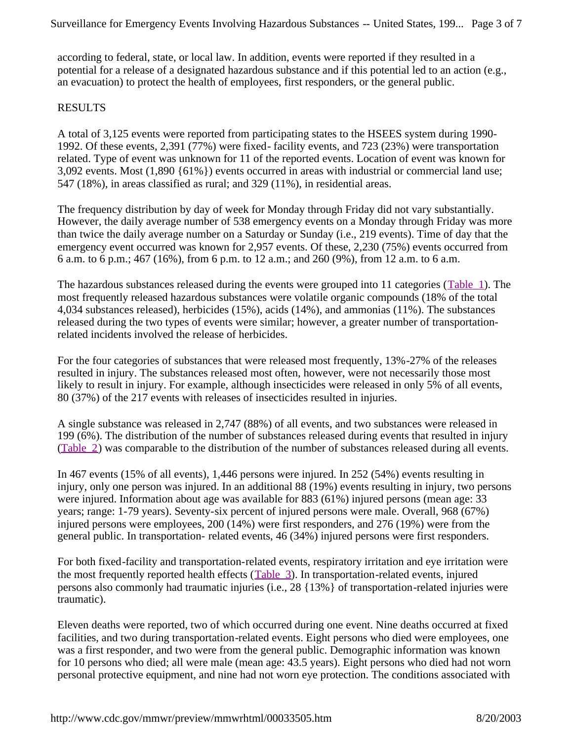according to federal, state, or local law. In addition, events were reported if they resulted in a potential for a release of a designated hazardous substance and if this potential led to an action (e.g., an evacuation) to protect the health of employees, first responders, or the general public.

# RESULTS

A total of 3,125 events were reported from participating states to the HSEES system during 1990- 1992. Of these events, 2,391 (77%) were fixed- facility events, and 723 (23%) were transportation related. Type of event was unknown for 11 of the reported events. Location of event was known for 3,092 events. Most (1,890 {61%}) events occurred in areas with industrial or commercial land use; 547 (18%), in areas classified as rural; and 329 (11%), in residential areas.

The frequency distribution by day of week for Monday through Friday did not vary substantially. However, the daily average number of 538 emergency events on a Monday through Friday was more than twice the daily average number on a Saturday or Sunday (i.e., 219 events). Time of day that the emergency event occurred was known for 2,957 events. Of these, 2,230 (75%) events occurred from 6 a.m. to 6 p.m.; 467 (16%), from 6 p.m. to 12 a.m.; and 260 (9%), from 12 a.m. to 6 a.m.

The hazardous substances released during the events were grouped into 11 categories (Table\_1). The most frequently released hazardous substances were volatile organic compounds (18% of the total 4,034 substances released), herbicides (15%), acids (14%), and ammonias (11%). The substances released during the two types of events were similar; however, a greater number of transportationrelated incidents involved the release of herbicides.

For the four categories of substances that were released most frequently, 13%-27% of the releases resulted in injury. The substances released most often, however, were not necessarily those most likely to result in injury. For example, although insecticides were released in only 5% of all events, 80 (37%) of the 217 events with releases of insecticides resulted in injuries.

A single substance was released in 2,747 (88%) of all events, and two substances were released in 199 (6%). The distribution of the number of substances released during events that resulted in injury (Table\_2) was comparable to the distribution of the number of substances released during all events.

In 467 events (15% of all events), 1,446 persons were injured. In 252 (54%) events resulting in injury, only one person was injured. In an additional 88 (19%) events resulting in injury, two persons were injured. Information about age was available for 883 (61%) injured persons (mean age: 33 years; range: 1-79 years). Seventy-six percent of injured persons were male. Overall, 968 (67%) injured persons were employees, 200 (14%) were first responders, and 276 (19%) were from the general public. In transportation- related events, 46 (34%) injured persons were first responders.

For both fixed-facility and transportation-related events, respiratory irritation and eye irritation were the most frequently reported health effects (Table\_3). In transportation-related events, injured persons also commonly had traumatic injuries (i.e., 28 {13%} of transportation-related injuries were traumatic).

Eleven deaths were reported, two of which occurred during one event. Nine deaths occurred at fixed facilities, and two during transportation-related events. Eight persons who died were employees, one was a first responder, and two were from the general public. Demographic information was known for 10 persons who died; all were male (mean age: 43.5 years). Eight persons who died had not worn personal protective equipment, and nine had not worn eye protection. The conditions associated with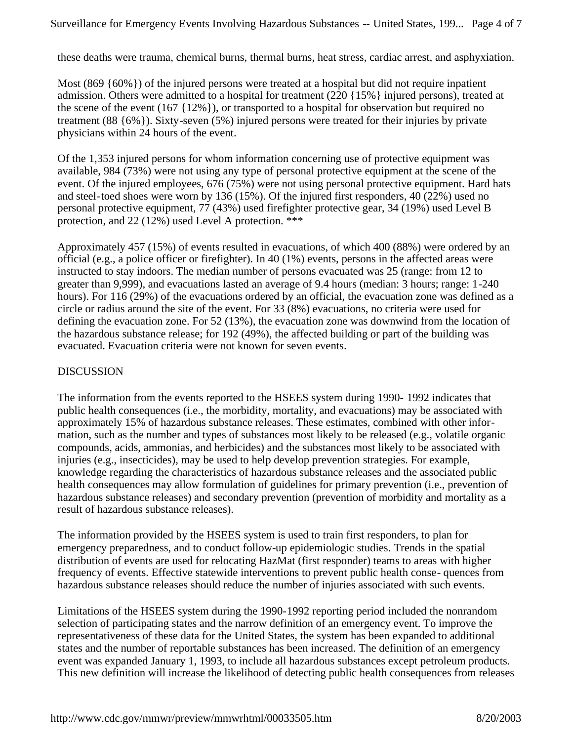these deaths were trauma, chemical burns, thermal burns, heat stress, cardiac arrest, and asphyxiation.

Most  $(869 \{60\%)$  of the injured persons were treated at a hospital but did not require inpatient admission. Others were admitted to a hospital for treatment (220 {15%} injured persons), treated at the scene of the event (167 {12%}), or transported to a hospital for observation but required no treatment (88 {6%}). Sixty-seven (5%) injured persons were treated for their injuries by private physicians within 24 hours of the event.

Of the 1,353 injured persons for whom information concerning use of protective equipment was available, 984 (73%) were not using any type of personal protective equipment at the scene of the event. Of the injured employees, 676 (75%) were not using personal protective equipment. Hard hats and steel-toed shoes were worn by 136 (15%). Of the injured first responders, 40 (22%) used no personal protective equipment, 77 (43%) used firefighter protective gear, 34 (19%) used Level B protection, and 22 (12%) used Level A protection. \*\*\*

Approximately 457 (15%) of events resulted in evacuations, of which 400 (88%) were ordered by an official (e.g., a police officer or firefighter). In 40 (1%) events, persons in the affected areas were instructed to stay indoors. The median number of persons evacuated was 25 (range: from 12 to greater than 9,999), and evacuations lasted an average of 9.4 hours (median: 3 hours; range: 1-240 hours). For 116 (29%) of the evacuations ordered by an official, the evacuation zone was defined as a circle or radius around the site of the event. For 33 (8%) evacuations, no criteria were used for defining the evacuation zone. For 52 (13%), the evacuation zone was downwind from the location of the hazardous substance release; for 192 (49%), the affected building or part of the building was evacuated. Evacuation criteria were not known for seven events.

# DISCUSSION

The information from the events reported to the HSEES system during 1990- 1992 indicates that public health consequences (i.e., the morbidity, mortality, and evacuations) may be associated with approximately 15% of hazardous substance releases. These estimates, combined with other information, such as the number and types of substances most likely to be released (e.g., volatile organic compounds, acids, ammonias, and herbicides) and the substances most likely to be associated with injuries (e.g., insecticides), may be used to help develop prevention strategies. For example, knowledge regarding the characteristics of hazardous substance releases and the associated public health consequences may allow formulation of guidelines for primary prevention (i.e., prevention of hazardous substance releases) and secondary prevention (prevention of morbidity and mortality as a result of hazardous substance releases).

The information provided by the HSEES system is used to train first responders, to plan for emergency preparedness, and to conduct follow-up epidemiologic studies. Trends in the spatial distribution of events are used for relocating HazMat (first responder) teams to areas with higher frequency of events. Effective statewide interventions to prevent public health conse- quences from hazardous substance releases should reduce the number of injuries associated with such events.

Limitations of the HSEES system during the 1990-1992 reporting period included the nonrandom selection of participating states and the narrow definition of an emergency event. To improve the representativeness of these data for the United States, the system has been expanded to additional states and the number of reportable substances has been increased. The definition of an emergency event was expanded January 1, 1993, to include all hazardous substances except petroleum products. This new definition will increase the likelihood of detecting public health consequences from releases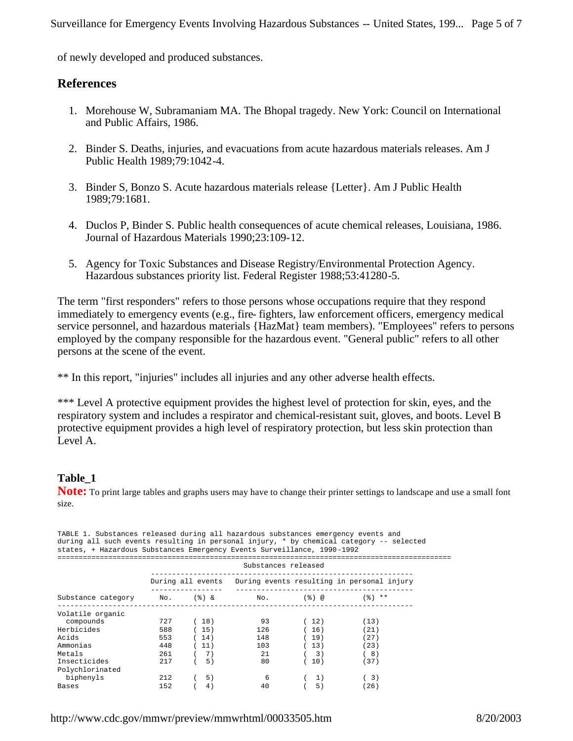of newly developed and produced substances.

# **References**

- 1. Morehouse W, Subramaniam MA. The Bhopal tragedy. New York: Council on International and Public Affairs, 1986.
- 2. Binder S. Deaths, injuries, and evacuations from acute hazardous materials releases. Am J Public Health 1989;79:1042-4.
- 3. Binder S, Bonzo S. Acute hazardous materials release {Letter}. Am J Public Health 1989;79:1681.
- 4. Duclos P, Binder S. Public health consequences of acute chemical releases, Louisiana, 1986. Journal of Hazardous Materials 1990;23:109-12.
- 5. Agency for Toxic Substances and Disease Registry/Environmental Protection Agency. Hazardous substances priority list. Federal Register 1988;53:41280-5.

The term "first responders" refers to those persons whose occupations require that they respond immediately to emergency events (e.g., fire- fighters, law enforcement officers, emergency medical service personnel, and hazardous materials {HazMat} team members). "Employees" refers to persons employed by the company responsible for the hazardous event. "General public" refers to all other persons at the scene of the event.

\*\* In this report, "injuries" includes all injuries and any other adverse health effects.

\*\*\* Level A protective equipment provides the highest level of protection for skin, eyes, and the respiratory system and includes a respirator and chemical-resistant suit, gloves, and boots. Level B protective equipment provides a high level of respiratory protection, but less skin protection than Level A.

# **Table\_1**

**Note:** To print large tables and graphs users may have to change their printer settings to landscape and use a small font size.

| TABLE 1. Substances released during all hazardous substances emergency events and<br>during all such events resulting in personal injury, * by chemical category -- selected<br>states, + Hazardous Substances Emergency Events Surveillance, 1990-1992 |                     |              |                                     |                  |                                                              |  |  |
|---------------------------------------------------------------------------------------------------------------------------------------------------------------------------------------------------------------------------------------------------------|---------------------|--------------|-------------------------------------|------------------|--------------------------------------------------------------|--|--|
|                                                                                                                                                                                                                                                         | Substances released |              |                                     |                  |                                                              |  |  |
|                                                                                                                                                                                                                                                         |                     |              | ----------------------------------- |                  | During all events During events resulting in personal injury |  |  |
| Substance category Mo. $(%) &$ No. $(%) &$ (%) $(%)$ $(%)$ **                                                                                                                                                                                           |                     |              |                                     |                  |                                                              |  |  |
| Volatile organic<br>compounds<br>Herbicides                                                                                                                                                                                                             | 727 —<br>588        | (18)<br>(15) | 93<br>126                           | (12)<br>(16)     | (13)<br>(21)                                                 |  |  |
| Acids<br>Ammonias                                                                                                                                                                                                                                       | 553<br>448          | (14)<br>(11) | 103                                 | 148 (19)<br>(13) | (27)<br>(23)                                                 |  |  |
| Metals<br>Insecticides                                                                                                                                                                                                                                  | 261<br>217          | (7)<br>(5)   | 21<br>80                            | (3)<br>(10)      | (8)<br>(37)                                                  |  |  |
| Polychlorinated<br>biphenyls                                                                                                                                                                                                                            | 212                 | 5)           | -6                                  | (1)              | (3)                                                          |  |  |
| Bases                                                                                                                                                                                                                                                   | 152                 | 4)           | 40                                  | 5)               | (26)                                                         |  |  |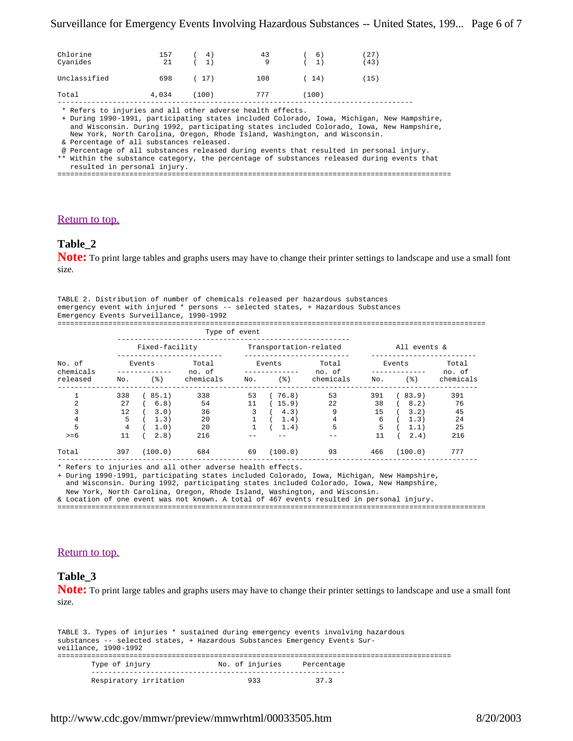| Unclassified<br>108<br>698<br>(17)<br>(14)<br>(15)<br>4,034<br>777<br>(100)<br>Total<br>(100)<br>* Refers to injuries and all other adverse health effects.<br>+ During 1990-1991, participating states included Colorado, Iowa, Michigan, New Hampshire,<br>and Wisconsin. During 1992, participating states included Colorado, Iowa, New Hampshire,<br>New York, North Carolina, Oregon, Rhode Island, Washington, and Wisconsin.<br>& Percentage of all substances released.<br>@ Percentage of all substances released during events that resulted in personal injury.<br>** Within the substance category, the percentage of substances released during events that<br>resulted in personal injury. | Chlorine<br>Cyanides | 157<br>21 | 4)<br>1) | 43<br>9 | 6)<br>(1) | (27)<br>(43) |  |  |  |
|----------------------------------------------------------------------------------------------------------------------------------------------------------------------------------------------------------------------------------------------------------------------------------------------------------------------------------------------------------------------------------------------------------------------------------------------------------------------------------------------------------------------------------------------------------------------------------------------------------------------------------------------------------------------------------------------------------|----------------------|-----------|----------|---------|-----------|--------------|--|--|--|
|                                                                                                                                                                                                                                                                                                                                                                                                                                                                                                                                                                                                                                                                                                          |                      |           |          |         |           |              |  |  |  |
|                                                                                                                                                                                                                                                                                                                                                                                                                                                                                                                                                                                                                                                                                                          |                      |           |          |         |           |              |  |  |  |
|                                                                                                                                                                                                                                                                                                                                                                                                                                                                                                                                                                                                                                                                                                          |                      |           |          |         |           |              |  |  |  |

#### Return to top.

## **Table\_2**

**Note:** To print large tables and graphs users may have to change their printer settings to landscape and use a small font size.

|                                          | TABLE 2. Distribution of number of chemicals released per hazardous substances    |
|------------------------------------------|-----------------------------------------------------------------------------------|
|                                          | emergency event with injured * persons -- selected states, + Hazardous Substances |
| Emergency Events Surveillance, 1990-1992 |                                                                                   |
|                                          |                                                                                   |

|                                 |          | Type of event  |                    |                              |                        |                                 |                              |              |                   |                              |
|---------------------------------|----------|----------------|--------------------|------------------------------|------------------------|---------------------------------|------------------------------|--------------|-------------------|------------------------------|
|                                 |          | Fixed-facility |                    |                              | Transportation-related |                                 |                              | All events & |                   |                              |
| No. of<br>chemicals<br>released | No.      | Events         | $($ $\mathcal{E})$ | Total<br>no. of<br>chemicals | No.                    | Events<br>$($ $\frac{6}{6}$ $)$ | Total<br>no. of<br>chemicals | No.          | Events<br>$($ 응 ) | Total<br>no. of<br>chemicals |
| $\mathbf{1}$                    | 338      |                | (85.1)             | 338                          | 53                     | (76.8)                          | 53                           | 391          | (83.9)            | 391                          |
| $\overline{2}$<br>3             | 27<br>12 |                | (6.8)<br>3.0)      | 54<br>36                     | 11<br>3                | (15.9)<br>4.3)                  | 22<br>9                      | 38<br>15     | (8.2)<br>3.2)     | 76<br>45                     |
| 4<br>5                          | 5<br>4   |                | 1.3)<br>1.0)       | 20<br>20                     |                        | 1.4)<br>1.4)                    | 4<br>5                       | 6<br>5       | 1.3)<br>1.1)      | 24<br>25                     |
| $>= 6$                          | 11       |                | 2.8)               | 216                          |                        |                                 |                              | 11           | 2.4)              | 216                          |
| Total                           | 397      |                | (100.0)            | 684                          | 69                     | (100.0)                         | 93                           | 466          | (100.0)           | 777                          |

\* Refers to injuries and all other adverse health effects.

+ During 1990-1991, participating states included Colorado, Iowa, Michigan, New Hampshire, and Wisconsin. During 1992, participating states included Colorado, Iowa, New Hampshire,

New York, North Carolina, Oregon, Rhode Island, Washington, and Wisconsin.

& Location of one event was not known. A total of 467 events resulted in personal injury. =====================================================================================================

#### Return to top.

#### **Table\_3**

**Note:** To print large tables and graphs users may have to change their printer settings to landscape and use a small font size.

TABLE 3. Types of injuries \* sustained during emergency events involving hazardous substances -- selected states, + Hazardous Substances Emergency Events Surveillance, 1990-1992 ============================================================================================= Type of injury **No.** of injuries Percentage ------------------------------------------------------------

| Respiratory irritation | 933 | 37.3 |
|------------------------|-----|------|
|                        |     |      |